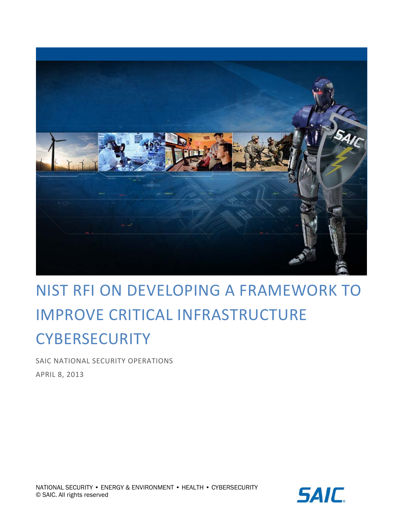

# NIST RFI ON DEVELOPING A FRAMEWORK TO IMPROVE CRITICAL INFRASTRUCTURE **CYBERSECURITY**

 SAIC NATIONAL SECURITY OPERATIONS APRIL 8, 2013

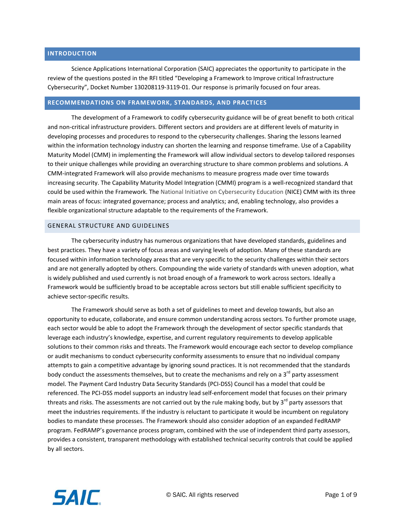#### **INTRODUCTION**

 Science Applications International Corporation (SAIC) appreciates the opportunity to participate in the review of the questions posted in the RFI titled "Developing a Framework to Improve critical Infrastructure Cybersecurity", Docket Number 130208119‐3119‐01. Our response is primarily focused on four areas.

#### **RECOMMENDATIONS ON FRAMEWORK, STANDARDS, AND PRACTICES**

 The development of a Framework to codify cybersecurity guidance will be of great benefit to both critical and non‐critical infrastructure providers. Different sectors and providers are at different levels of maturity in developing processes and procedures to respond to the cybersecurity challenges. Sharing the lessons learned within the information technology industry can shorten the learning and response timeframe. Use of a Capability Maturity Model (CMM) in implementing the Framework will allow individual sectors to develop tailored responses to their unique challenges while providing an overarching structure to share common problems and solutions. A CMM‐integrated Framework will also provide mechanisms to measure progress made over time towards increasing security. The Capability Maturity Model Integration (CMMI) program is a well‐recognized standard that could be used within the Framework. The National Initiative on Cybersecurity Education (NICE) CMM with its three main areas of focus: integrated governance; process and analytics; and, enabling technology, also provides a flexible organizational structure adaptable to the requirements of the Framework.

#### GENERAL STRUCTURE AND GUIDELINES

 The cybersecurity industry has numerous organizations that have developed standards, guidelines and best practices. They have a variety of focus areas and varying levels of adoption. Many of these standards are focused within information technology areas that are very specific to the security challenges within their sectors and are not generally adopted by others. Compounding the wide variety of standards with uneven adoption, what is widely published and used currently is not broad enough of a framework to work across sectors. Ideally a Framework would be sufficiently broad to be acceptable across sectors but still enable sufficient specificity to achieve sector‐specific results.

 The Framework should serve as both a set of guidelines to meet and develop towards, but also an opportunity to educate, collaborate, and ensure common understanding across sectors. To further promote usage, each sector would be able to adopt the Framework through the development of sector specific standards that leverage each industry's knowledge, expertise, and current regulatory requirements to develop applicable solutions to their common risks and threats. The Framework would encourage each sector to develop compliance or audit mechanisms to conduct cybersecurity conformity assessments to ensure that no individual company attempts to gain a competitive advantage by ignoring sound practices. It is not recommended that the standards body conduct the assessments themselves, but to create the mechanisms and rely on a 3<sup>rd</sup> party assessment model. The Payment Card Industry Data Security Standards (PCI‐DSS) Council has a model that could be referenced. The PCI‐DSS model supports an industry lead self‐enforcement model that focuses on their primary threats and risks. The assessments are not carried out by the rule making body, but by 3<sup>rd</sup> party assessors that meet the industries requirements. If the industry is reluctant to participate it would be incumbent on regulatory bodies to mandate these processes. The Framework should also consider adoption of an expanded FedRAMP program. FedRAMP's governance process program, combined with the use of independent third party assessors, provides a consistent, transparent methodology with established technical security controls that could be applied by all sectors.

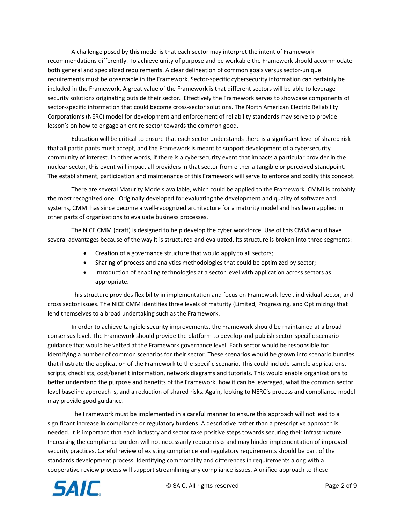A challenge posed by this model is that each sector may interpret the intent of Framework recommendations differently. To achieve unity of purpose and be workable the Framework should accommodate both general and specialized requirements. A clear delineation of common goals versus sector‐unique requirements must be observable in the Framework. Sector‐specific cybersecurity information can certainly be included in the Framework. A great value of the Framework is that different sectors will be able to leverage security solutions originating outside their sector. Effectively the Framework serves to showcase components of sector‐specific information that could become cross‐sector solutions. The North American Electric Reliability Corporation's (NERC) model for development and enforcement of reliability standards may serve to provide lesson's on how to engage an entire sector towards the common good.

 Education will be critical to ensure that each sector understands there is a significant level of shared risk that all participants must accept, and the Framework is meant to support development of a cybersecurity community of interest. In other words, if there is a cybersecurity event that impacts a particular provider in the nuclear sector, this event will impact all providers in that sector from either a tangible or perceived standpoint. The establishment, participation and maintenance of this Framework will serve to enforce and codify this concept.

 There are several Maturity Models available, which could be applied to the Framework. CMMI is probably the most recognized one. Originally developed for evaluating the development and quality of software and systems, CMMI has since become a well‐recognized architecture for a maturity model and has been applied in other parts of organizations to evaluate business processes.

 The NICE CMM (draft) is designed to help develop the cyber workforce. Use of this CMM would have several advantages because of the way it is structured and evaluated. Its structure is broken into three segments:

- Creation of a governance structure that would apply to all sectors;
- Sharing of process and analytics methodologies that could be optimized by sector;
- Introduction of enabling technologies at a sector level with application across sectors as appropriate.

 This structure provides flexibility in implementation and focus on Framework‐level, individual sector, and cross sector issues. The NICE CMM identifies three levels of maturity (Limited, Progressing, and Optimizing) that lend themselves to a broad undertaking such as the Framework.

 In order to achieve tangible security improvements, the Framework should be maintained at a broad consensus level. The Framework should provide the platform to develop and publish sector‐specific scenario guidance that would be vetted at the Framework governance level. Each sector would be responsible for identifying a number of common scenarios for their sector. These scenarios would be grown into scenario bundles that illustrate the application of the Framework to the specific scenario. This could include sample applications, scripts, checklists, cost/benefit information, network diagrams and tutorials. This would enable organizations to better understand the purpose and benefits of the Framework, how it can be leveraged, what the common sector level baseline approach is, and a reduction of shared risks. Again, looking to NERC's process and compliance model may provide good guidance.

 The Framework must be implemented in a careful manner to ensure this approach will not lead to a significant increase in compliance or regulatory burdens. A descriptive rather than a prescriptive approach is needed. It is important that each industry and sector take positive steps towards securing their infrastructure. Increasing the compliance burden will not necessarily reduce risks and may hinder implementation of improved security practices. Careful review of existing compliance and regulatory requirements should be part of the standards development process. Identifying commonality and differences in requirements along with a cooperative review process will support streamlining any compliance issues. A unified approach to these

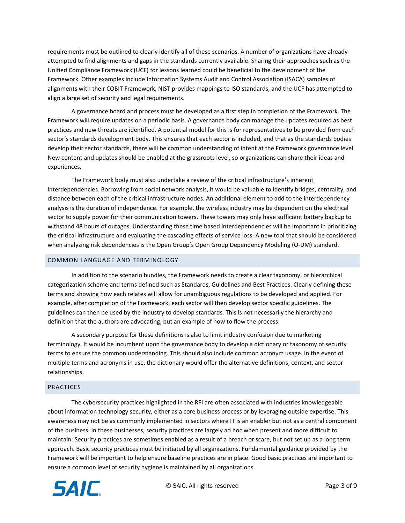requirements must be outlined to clearly identify all of these scenarios. A number of organizations have already attempted to find alignments and gaps in the standards currently available. Sharing their approaches such as the Unified Compliance Framework (UCF) for lessons learned could be beneficial to the development of the Framework. Other examples include Information Systems Audit and Control Association (ISACA) samples of alignments with their COBIT Framework, NIST provides mappings to ISO standards, and the UCF has attempted to align a large set of security and legal requirements.

 A governance board and process must be developed as a first step in completion of the Framework. The Framework will require updates on a periodic basis. A governance body can manage the updates required as best practices and new threats are identified. A potential model for this is for representatives to be provided from each sector's standards development body. This ensures that each sector is included, and that as the standards bodies develop their sector standards, there will be common understanding of intent at the Framework governance level. New content and updates should be enabled at the grassroots level, so organizations can share their ideas and experiences.

 The Framework body must also undertake a review of the critical infrastructure's inherent interdependencies. Borrowing from social network analysis, it would be valuable to identify bridges, centrality, and distance between each of the critical infrastructure nodes. An additional element to add to the interdependency analysis is the duration of independence. For example, the wireless industry may be dependent on the electrical sector to supply power for their communication towers. These towers may only have sufficient battery backup to withstand 48 hours of outages. Understanding these time based interdependencies will be important in prioritizing the critical infrastructure and evaluating the cascading effects of service loss. A new tool that should be considered when analyzing risk dependencies is the Open Group's Open Group Dependency Modeling (O‐DM) standard.

# COMMON LANGUAGE AND TERMINOLOGY

 In addition to the scenario bundles, the Framework needs to create a clear taxonomy, or hierarchical categorization scheme and terms defined such as Standards, Guidelines and Best Practices. Clearly defining these terms and showing how each relates will allow for unambiguous regulations to be developed and applied. For example, after completion of the Framework, each sector will then develop sector specific guidelines. The guidelines can then be used by the industry to develop standards. This is not necessarily the hierarchy and definition that the authors are advocating, but an example of how to flow the process.

 A secondary purpose for these definitions is also to limit industry confusion due to marketing terminology. It would be incumbent upon the governance body to develop a dictionary or taxonomy of security terms to ensure the common understanding. This should also include common acronym usage. In the event of multiple terms and acronyms in use, the dictionary would offer the alternative definitions, context, and sector relationships.

## PRACTICES

 The cybersecurity practices highlighted in the RFI are often associated with industries knowledgeable about information technology security, either as a core business process or by leveraging outside expertise. This awareness may not be as commonly implemented in sectors where IT is an enabler but not as a central component of the business. In these businesses, security practices are largely ad hoc when present and more difficult to maintain. Security practices are sometimes enabled as a result of a breach or scare, but not set up as a long term approach. Basic security practices must be initiated by all organizations. Fundamental guidance provided by the Framework will be important to help ensure baseline practices are in place. Good basic practices are important to ensure a common level of security hygiene is maintained by all organizations.

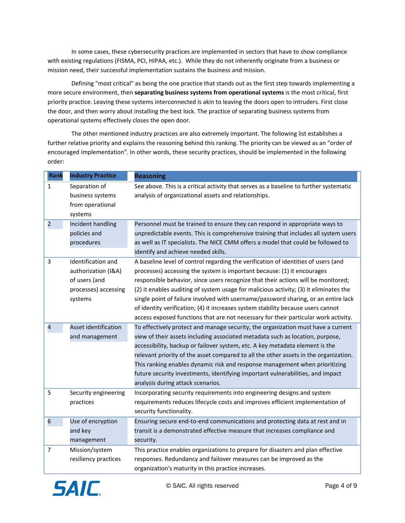In some cases, these cybersecurity practices are implemented in sectors that have to show compliance with existing regulations (FISMA, PCI, HIPAA, etc.). While they do not inherently originate from a business or mission need, their successful implementation sustains the business and mission.

 Defining "most critical" as being the one practice that stands out as the first step towards implementing a  more secure environment, then **separating business systems from operational systems** is the most critical, first priority practice. Leaving these systems interconnected is akin to leaving the doors open to intruders. First close the door, and then worry about installing the best lock. The practice of separating business systems from operational systems effectively closes the open door.

 The other mentioned industry practices are also extremely important. The following list establishes a further relative priority and explains the reasoning behind this ranking. The priority can be viewed as an "order of encouraged implementation". In other words, these security practices, should be implemented in the following order:

| <b>Rank</b>               | <b>Industry Practice</b> | <b>Reasoning</b>                                                                       |  |  |
|---------------------------|--------------------------|----------------------------------------------------------------------------------------|--|--|
| $\mathbf{1}$              | Separation of            | See above. This is a critical activity that serves as a baseline to further systematic |  |  |
|                           | business systems         | analysis of organizational assets and relationships.                                   |  |  |
|                           | from operational         |                                                                                        |  |  |
|                           | systems                  |                                                                                        |  |  |
| $\overline{2}$            | Incident handling        | Personnel must be trained to ensure they can respond in appropriate ways to            |  |  |
|                           | policies and             | unpredictable events. This is comprehensive training that includes all system users    |  |  |
|                           | procedures               | as well as IT specialists. The NICE CMM offers a model that could be followed to       |  |  |
|                           |                          | identify and achieve needed skills.                                                    |  |  |
| 3                         | Identification and       | A baseline level of control regarding the verification of identities of users (and     |  |  |
|                           | authorization (I&A)      | processes) accessing the system is important because: (1) it encourages                |  |  |
|                           | of users (and            | responsible behavior, since users recognize that their actions will be monitored;      |  |  |
|                           | processes) accessing     | (2) it enables auditing of system usage for malicious activity; (3) it eliminates the  |  |  |
|                           | systems                  | single point of failure involved with username/password sharing, or an entire lack     |  |  |
|                           |                          | of identity verification; (4) it increases system stability because users cannot       |  |  |
|                           |                          | access exposed functions that are not necessary for their particular work activity.    |  |  |
| 4                         | Asset identification     | To effectively protect and manage security, the organization must have a current       |  |  |
|                           | and management           | view of their assets including associated metadata such as location, purpose,          |  |  |
|                           |                          | accessibility, backup or failover system, etc. A key metadata element is the           |  |  |
|                           |                          | relevant priority of the asset compared to all the other assets in the organization.   |  |  |
|                           |                          | This ranking enables dynamic risk and response management when prioritizing            |  |  |
|                           |                          | future security investments, identifying important vulnerabilities, and impact         |  |  |
|                           |                          | analysis during attack scenarios.                                                      |  |  |
| 5<br>Security engineering |                          | Incorporating security requirements into engineering designs and system                |  |  |
|                           | practices                | requirements reduces lifecycle costs and improves efficient implementation of          |  |  |
|                           |                          | security functionality.                                                                |  |  |
| 6                         | Use of encryption        | Ensuring secure end-to-end communications and protecting data at rest and in           |  |  |
|                           | and key                  | transit is a demonstrated effective measure that increases compliance and              |  |  |
|                           | management               | security.                                                                              |  |  |
| $\overline{7}$            | Mission/system           | This practice enables organizations to prepare for disasters and plan effective        |  |  |
|                           | resiliency practices     | responses. Redundancy and failover measures can be improved as the                     |  |  |
|                           |                          | organization's maturity in this practice increases.                                    |  |  |

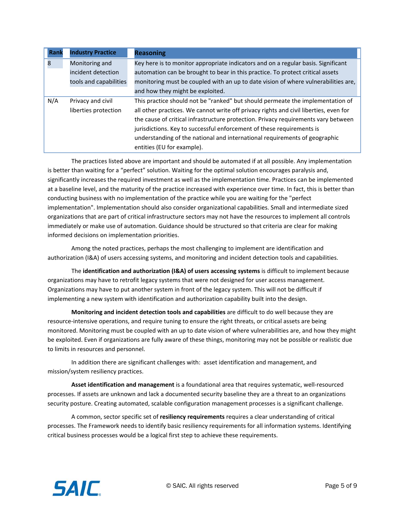| Rank                 | <b>Industry Practice</b> | <b>Reasoning</b>                                                                      |
|----------------------|--------------------------|---------------------------------------------------------------------------------------|
| 8                    | Monitoring and           | Key here is to monitor appropriate indicators and on a regular basis. Significant     |
|                      | incident detection       | automation can be brought to bear in this practice. To protect critical assets        |
|                      | tools and capabilities   | monitoring must be coupled with an up to date vision of where vulnerabilities are,    |
|                      |                          | and how they might be exploited.                                                      |
| N/A                  | Privacy and civil        | This practice should not be "ranked" but should permeate the implementation of        |
| liberties protection |                          | all other practices. We cannot write off privacy rights and civil liberties, even for |
|                      |                          | the cause of critical infrastructure protection. Privacy requirements vary between    |
|                      |                          | jurisdictions. Key to successful enforcement of these requirements is                 |
|                      |                          | understanding of the national and international requirements of geographic            |
|                      |                          | entities (EU for example).                                                            |

 The practices listed above are important and should be automated if at all possible. Any implementation is better than waiting for a "perfect" solution. Waiting for the optimal solution encourages paralysis and, significantly increases the required investment as well as the implementation time. Practices can be implemented at a baseline level, and the maturity of the practice increased with experience over time. In fact, this is better than conducting business with no implementation of the practice while you are waiting for the "perfect implementation". Implementation should also consider organizational capabilities. Small and intermediate sized organizations that are part of critical infrastructure sectors may not have the resources to implement all controls immediately or make use of automation. Guidance should be structured so that criteria are clear for making informed decisions on implementation priorities.

 Among the noted practices, perhaps the most challenging to implement are identification and authorization (I&A) of users accessing systems, and monitoring and incident detection tools and capabilities.

 The **identification and authorization (I&A) of users accessing systems** is difficult to implement because organizations may have to retrofit legacy systems that were not designed for user access management. Organizations may have to put another system in front of the legacy system. This will not be difficult if implementing a new system with identification and authorization capability built into the design.

 **Monitoring and incident detection tools and capabilities** are difficult to do well because they are resource‐intensive operations, and require tuning to ensure the right threats, or critical assets are being monitored. Monitoring must be coupled with an up to date vision of where vulnerabilities are, and how they might be exploited. Even if organizations are fully aware of these things, monitoring may not be possible or realistic due to limits in resources and personnel.

 In addition there are significant challenges with: asset identification and management, and mission/system resiliency practices.

 **Asset identification and management** is a foundational area that requires systematic, well‐resourced processes. If assets are unknown and lack a documented security baseline they are a threat to an organizations security posture. Creating automated, scalable configuration management processes is a significant challenge.

 A common, sector specific set of **resiliency requirements** requires a clear understanding of critical processes. The Framework needs to identify basic resiliency requirements for all information systems. Identifying critical business processes would be a logical first step to achieve these requirements.

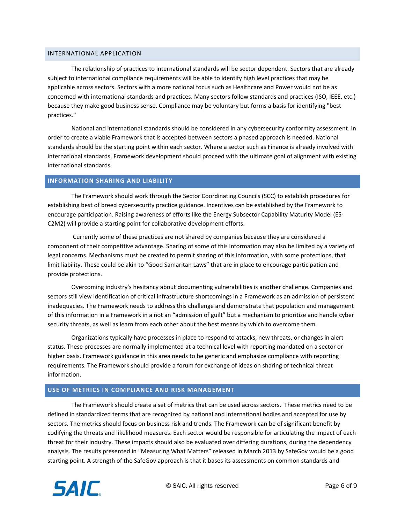## INTERNATIONAL APPLICATION

 The relationship of practices to international standards will be sector dependent. Sectors that are already subject to international compliance requirements will be able to identify high level practices that may be applicable across sectors. Sectors with a more national focus such as Healthcare and Power would not be as concerned with international standards and practices. Many sectors follow standards and practices (ISO, IEEE, etc.) because they make good business sense. Compliance may be voluntary but forms a basis for identifying "best practices."

 National and international standards should be considered in any cybersecurity conformity assessment. In order to create a viable Framework that is accepted between sectors a phased approach is needed. National standards should be the starting point within each sector. Where a sector such as Finance is already involved with international standards, Framework development should proceed with the ultimate goal of alignment with existing international standards.

#### **INFORMATION SHARING AND LIABILITY**

 The Framework should work through the Sector Coordinating Councils (SCC) to establish procedures for establishing best of breed cybersecurity practice guidance. Incentives can be established by the Framework to encourage participation. Raising awareness of efforts like the Energy Subsector Capability Maturity Model (ES‐ C2M2) will provide a starting point for collaborative development efforts.

 Currently some of these practices are not shared by companies because they are considered a component of their competitive advantage. Sharing of some of this information may also be limited by a variety of legal concerns. Mechanisms must be created to permit sharing of this information, with some protections, that limit liability. These could be akin to "Good Samaritan Laws" that are in place to encourage participation and provide protections.

 Overcoming industry's hesitancy about documenting vulnerabilities is another challenge. Companies and sectors still view identification of critical infrastructure shortcomings in a Framework as an admission of persistent inadequacies. The Framework needs to address this challenge and demonstrate that population and management of this information in a Framework in a not an "admission of guilt" but a mechanism to prioritize and handle cyber security threats, as well as learn from each other about the best means by which to overcome them.

 Organizations typically have processes in place to respond to attacks, new threats, or changes in alert status. These processes are normally implemented at a technical level with reporting mandated on a sector or higher basis. Framework guidance in this area needs to be generic and emphasize compliance with reporting requirements. The Framework should provide a forum for exchange of ideas on sharing of technical threat information.

## **USE OF METRICS IN COMPLIANCE AND RISK MANAGEMENT**

 The Framework should create a set of metrics that can be used across sectors. These metrics need to be defined in standardized terms that are recognized by national and international bodies and accepted for use by sectors. The metrics should focus on business risk and trends. The Framework can be of significant benefit by codifying the threats and likelihood measures. Each sector would be responsible for articulating the impact of each threat for their industry. These impacts should also be evaluated over differing durations, during the dependency analysis. The results presented in "Measuring What Matters" released in March 2013 by SafeGov would be a good starting point. A strength of the SafeGov approach is that it bases its assessments on common standards and

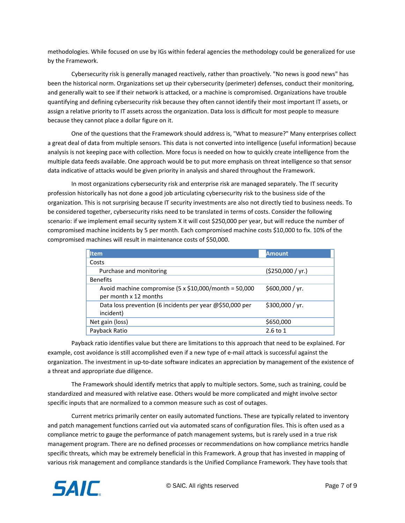methodologies. While focused on use by IGs within federal agencies the methodology could be generalized for use by the Framework.

 Cybersecurity risk is generally managed reactively, rather than proactively. "No news is good news" has been the historical norm. Organizations set up their cybersecurity (perimeter) defenses, conduct their monitoring, and generally wait to see if their network is attacked, or a machine is compromised. Organizations have trouble quantifying and defining cybersecurity risk because they often cannot identify their most important IT assets, or assign a relative priority to IT assets across the organization. Data loss is difficult for most people to measure because they cannot place a dollar figure on it.

 One of the questions that the Framework should address is, "What to measure?" Many enterprises collect a great deal of data from multiple sensors. This data is not converted into intelligence (useful information) because analysis is not keeping pace with collection. More focus is needed on how to quickly create intelligence from the multiple data feeds available. One approach would be to put more emphasis on threat intelligence so that sensor data indicative of attacks would be given priority in analysis and shared throughout the Framework.

 In most organizations cybersecurity risk and enterprise risk are managed separately. The IT security profession historically has not done a good job articulating cybersecurity risk to the business side of the organization. This is not surprising because IT security investments are also not directly tied to business needs. To be considered together, cybersecurity risks need to be translated in terms of costs. Consider the following scenario: if we implement email security system X it will cost \$250,000 per year, but will reduce the number of compromised machine incidents by 5 per month. Each compromised machine costs \$10,000 to fix. 10% of the compromised machines will result in maintenance costs of \$50,000.

| Item                                                                                  | <b>Amount</b>    |  |  |  |
|---------------------------------------------------------------------------------------|------------------|--|--|--|
| Costs                                                                                 |                  |  |  |  |
| Purchase and monitoring                                                               | (5250,000 / yr.) |  |  |  |
| <b>Benefits</b>                                                                       |                  |  |  |  |
| Avoid machine compromise $(5 \times $10,000$ /month = 50,000<br>per month x 12 months | \$600,000 / yr.  |  |  |  |
| Data loss prevention (6 incidents per year @\$50,000 per<br>incident)                 | \$300,000 / yr.  |  |  |  |
| Net gain (loss)                                                                       | \$650,000        |  |  |  |
| Payback Ratio                                                                         | $2.6$ to 1       |  |  |  |

 Payback ratio identifies value but there are limitations to this approach that need to be explained. For example, cost avoidance is still accomplished even if a new type of e‐mail attack is successful against the organization. The investment in up‐to‐date software indicates an appreciation by management of the existence of a threat and appropriate due diligence.

 The Framework should identify metrics that apply to multiple sectors. Some, such as training, could be standardized and measured with relative ease. Others would be more complicated and might involve sector specific inputs that are normalized to a common measure such as cost of outages.

 Current metrics primarily center on easily automated functions. These are typically related to inventory and patch management functions carried out via automated scans of configuration files. This is often used as a compliance metric to gauge the performance of patch management systems, but is rarely used in a true risk management program. There are no defined processes or recommendations on how compliance metrics handle specific threats, which may be extremely beneficial in this Framework. A group that has invested in mapping of various risk management and compliance standards is the Unified Compliance Framework. They have tools that

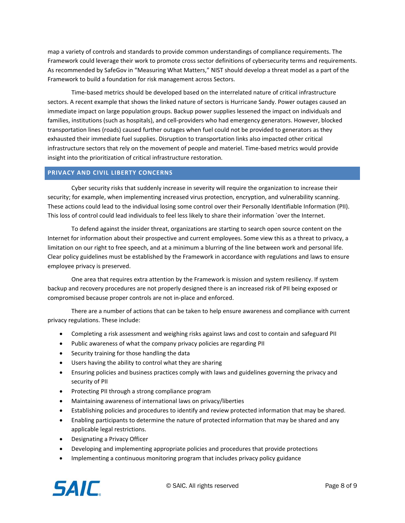map a variety of controls and standards to provide common understandings of compliance requirements. The Framework could leverage their work to promote cross sector definitions of cybersecurity terms and requirements. As recommended by SafeGov in "Measuring What Matters," NIST should develop a threat model as a part of the Framework to build a foundation for risk management across Sectors.

 Time‐based metrics should be developed based on the interrelated nature of critical infrastructure sectors. A recent example that shows the linked nature of sectors is Hurricane Sandy. Power outages caused an immediate impact on large population groups. Backup power supplies lessened the impact on individuals and families, institutions (such as hospitals), and cell‐providers who had emergency generators. However, blocked transportation lines (roads) caused further outages when fuel could not be provided to generators as they exhausted their immediate fuel supplies. Disruption to transportation links also impacted other critical infrastructure sectors that rely on the movement of people and materiel. Time‐based metrics would provide insight into the prioritization of critical infrastructure restoration.

## **PRIVACY AND CIVIL LIBERTY CONCERNS**

 Cyber security risks that suddenly increase in severity will require the organization to increase their security; for example, when implementing increased virus protection, encryption, and vulnerability scanning. These actions could lead to the individual losing some control over their Personally Identifiable Information (PII). This loss of control could lead individuals to feel less likely to share their information `over the Internet.

 To defend against the insider threat, organizations are starting to search open source content on the Internet for information about their prospective and current employees. Some view this as a threat to privacy, a limitation on our right to free speech, and at a minimum a blurring of the line between work and personal life. Clear policy guidelines must be established by the Framework in accordance with regulations and laws to ensure employee privacy is preserved.

 One area that requires extra attention by the Framework is mission and system resiliency. If system backup and recovery procedures are not properly designed there is an increased risk of PII being exposed or compromised because proper controls are not in‐place and enforced.

 There are a number of actions that can be taken to help ensure awareness and compliance with current privacy regulations. These include:

- Completing a risk assessment and weighing risks against laws and cost to contain and safeguard PII
- Public awareness of what the company privacy policies are regarding PII
- Security training for those handling the data
- Users having the ability to control what they are sharing
- Ensuring policies and business practices comply with laws and guidelines governing the privacy and security of PII
- Protecting PII through a strong compliance program
- Maintaining awareness of international laws on privacy/liberties
- Establishing policies and procedures to identify and review protected information that may be shared.
- Enabling participants to determine the nature of protected information that may be shared and any applicable legal restrictions.
- Designating a Privacy Officer
- Developing and implementing appropriate policies and procedures that provide protections
- Implementing a continuous monitoring program that includes privacy policy guidance